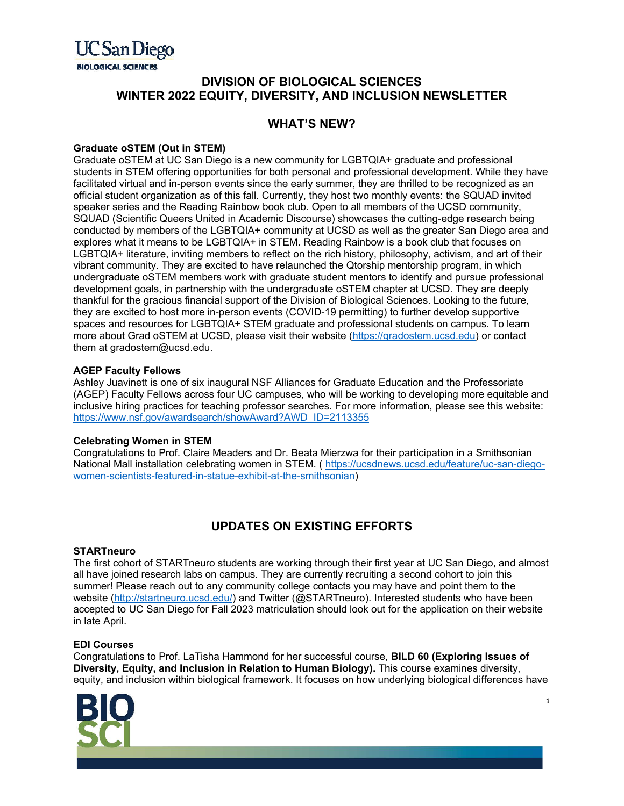

# **DIVISION OF BIOLOGICAL SCIENCES WINTER 2022 EQUITY, DIVERSITY, AND INCLUSION NEWSLETTER**

## **WHAT'S NEW?**

### **Graduate oSTEM (Out in STEM)**

Graduate oSTEM at UC San Diego is a new community for LGBTQIA+ graduate and professional students in STEM offering opportunities for both personal and professional development. While they have facilitated virtual and in-person events since the early summer, they are thrilled to be recognized as an official student organization as of this fall. Currently, they host two monthly events: the SQUAD invited speaker series and the Reading Rainbow book club. Open to all members of the UCSD community, SQUAD (Scientific Queers United in Academic Discourse) showcases the cutting-edge research being conducted by members of the LGBTQIA+ community at UCSD as well as the greater San Diego area and explores what it means to be LGBTQIA+ in STEM. Reading Rainbow is a book club that focuses on LGBTQIA+ literature, inviting members to reflect on the rich history, philosophy, activism, and art of their vibrant community. They are excited to have relaunched the Qtorship mentorship program, in which undergraduate oSTEM members work with graduate student mentors to identify and pursue professional development goals, in partnership with the undergraduate oSTEM chapter at UCSD. They are deeply thankful for the gracious financial support of the Division of Biological Sciences. Looking to the future, they are excited to host more in-person events (COVID-19 permitting) to further develop supportive spaces and resources for LGBTQIA+ STEM graduate and professional students on campus. To learn more about Grad oSTEM at UCSD, please visit their website (https://gradostem.ucsd.edu) or contact them at gradostem@ucsd.edu.

#### **AGEP Faculty Fellows**

Ashley Juavinett is one of six inaugural NSF Alliances for Graduate Education and the Professoriate (AGEP) Faculty Fellows across four UC campuses, who will be working to developing more equitable and inclusive hiring practices for teaching professor searches. For more information, please see this website: https://www.nsf.gov/awardsearch/showAward?AWD\_ID=2113355

#### **Celebrating Women in STEM**

Congratulations to Prof. Claire Meaders and Dr. Beata Mierzwa for their participation in a Smithsonian National Mall installation celebrating women in STEM. ( https://ucsdnews.ucsd.edu/feature/uc-san-diegowomen-scientists-featured-in-statue-exhibit-at-the-smithsonian)

# **UPDATES ON EXISTING EFFORTS**

#### **STARTneuro**

The first cohort of STARTneuro students are working through their first year at UC San Diego, and almost all have joined research labs on campus. They are currently recruiting a second cohort to join this summer! Please reach out to any community college contacts you may have and point them to the website (http://startneuro.ucsd.edu/) and Twitter (@STARTneuro). Interested students who have been accepted to UC San Diego for Fall 2023 matriculation should look out for the application on their website in late April.

#### **EDI Courses**

Congratulations to Prof. LaTisha Hammond for her successful course, **BILD 60 (Exploring Issues of Diversity, Equity, and Inclusion in Relation to Human Biology).** This course examines diversity, equity, and inclusion within biological framework. It focuses on how underlying biological differences have



1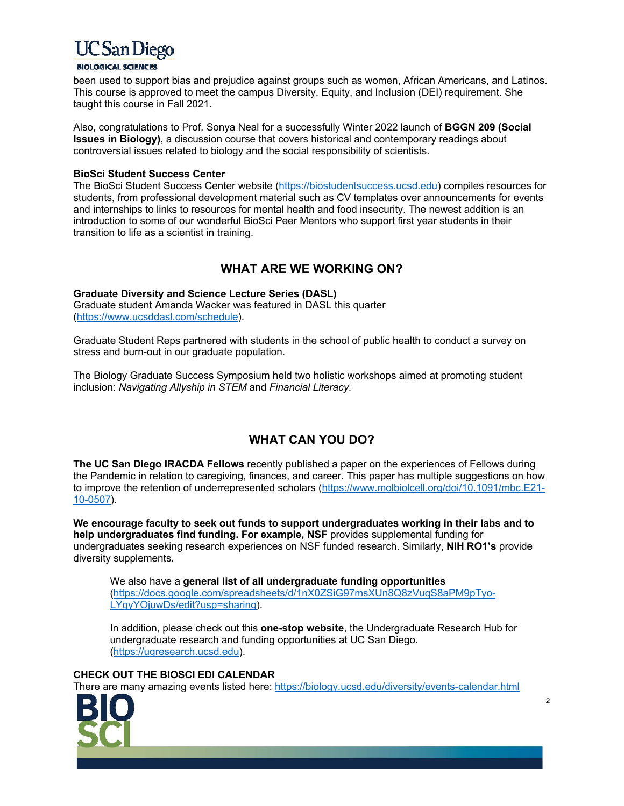

#### **BIOLOGICAL SCIENCES**

been used to support bias and prejudice against groups such as women, African Americans, and Latinos. This course is approved to meet the campus Diversity, Equity, and Inclusion (DEI) requirement. She taught this course in Fall 2021.

Also, congratulations to Prof. Sonya Neal for a successfully Winter 2022 launch of **BGGN 209 (Social Issues in Biology)**, a discussion course that covers historical and contemporary readings about controversial issues related to biology and the social responsibility of scientists.

#### **BioSci Student Success Center**

The BioSci Student Success Center website (https://biostudentsuccess.ucsd.edu) compiles resources for students, from professional development material such as CV templates over announcements for events and internships to links to resources for mental health and food insecurity. The newest addition is an introduction to some of our wonderful BioSci Peer Mentors who support first year students in their transition to life as a scientist in training.

## **WHAT ARE WE WORKING ON?**

#### **Graduate Diversity and Science Lecture Series (DASL)**

Graduate student Amanda Wacker was featured in DASL this quarter (https://www.ucsddasl.com/schedule).

Graduate Student Reps partnered with students in the school of public health to conduct a survey on stress and burn-out in our graduate population.

The Biology Graduate Success Symposium held two holistic workshops aimed at promoting student inclusion: *Navigating Allyship in STEM* and *Financial Literacy*.

# **WHAT CAN YOU DO?**

**The UC San Diego IRACDA Fellows** recently published a paper on the experiences of Fellows during the Pandemic in relation to caregiving, finances, and career. This paper has multiple suggestions on how to improve the retention of underrepresented scholars (https://www.molbiolcell.org/doi/10.1091/mbc.E21- 10-0507).

**We encourage faculty to seek out funds to support undergraduates working in their labs and to help undergraduates find funding. For example, NSF** provides supplemental funding for undergraduates seeking research experiences on NSF funded research. Similarly, **NIH RO1's** provide diversity supplements.

We also have a **general list of all undergraduate funding opportunities** (https://docs.google.com/spreadsheets/d/1nX0ZSiG97msXUn8Q8zVuqS8aPM9pTyo-LYqyYOjuwDs/edit?usp=sharing).

In addition, please check out this **one-stop website**, the Undergraduate Research Hub for undergraduate research and funding opportunities at UC San Diego. (https://ugresearch.ucsd.edu).

#### **CHECK OUT THE BIOSCI EDI CALENDAR**

There are many amazing events listed here: https://biology.ucsd.edu/diversity/events-calendar.html